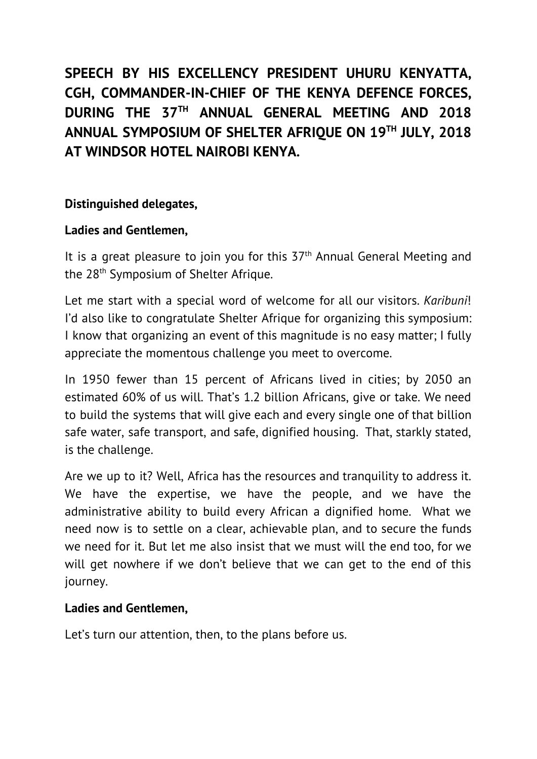**SPEECH BY HIS EXCELLENCY PRESIDENT UHURU KENYATTA, CGH, COMMANDER-IN-CHIEF OF THE KENYA DEFENCE FORCES, DURING THE 37 TH ANNUAL GENERAL MEETING AND 2018 ANNUAL SYMPOSIUM OF SHELTER AFRIQUE ON 19 TH JULY, 2018 AT WINDSOR HOTEL NAIROBI KENYA.**

# **Distinguished delegates,**

## **Ladies and Gentlemen,**

It is a great pleasure to join you for this 37<sup>th</sup> Annual General Meeting and the 28<sup>th</sup> Symposium of Shelter Afrique.

Let me start with a special word of welcome for all our visitors. *Karibuni*! I'd also like to congratulate Shelter Afrique for organizing this symposium: I know that organizing an event of this magnitude is no easy matter; I fully appreciate the momentous challenge you meet to overcome.

In 1950 fewer than 15 percent of Africans lived in cities; by 2050 an estimated 60% of us will. That's 1.2 billion Africans, give or take. We need to build the systems that will give each and every single one of that billion safe water, safe transport, and safe, dignified housing. That, starkly stated, is the challenge.

Are we up to it? Well, Africa has the resources and tranquility to address it. We have the expertise, we have the people, and we have the administrative ability to build every African a dignified home. What we need now is to settle on a clear, achievable plan, and to secure the funds we need for it. But let me also insist that we must will the end too, for we will get nowhere if we don't believe that we can get to the end of this journey.

#### **Ladies and Gentlemen,**

Let's turn our attention, then, to the plans before us.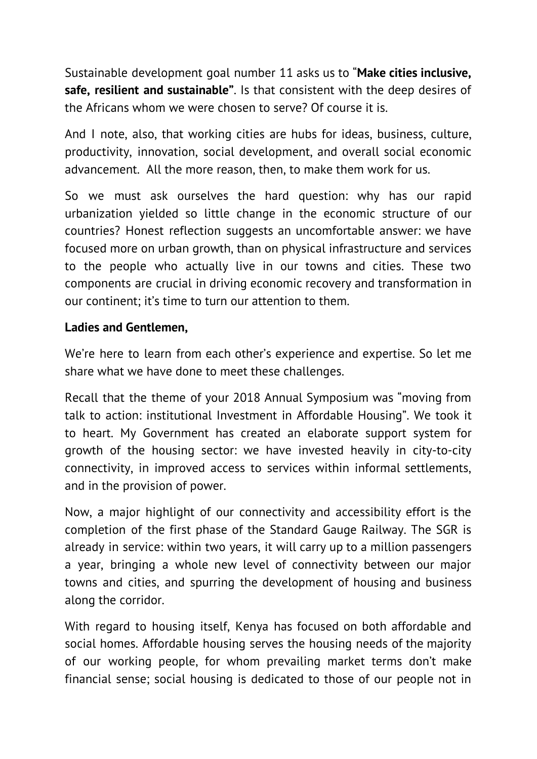Sustainable development goal number 11 asks us to "**Make cities inclusive, safe, resilient and sustainable"**. Is that consistent with the deep desires of the Africans whom we were chosen to serve? Of course it is.

And I note, also, that working cities are hubs for ideas, business, culture, productivity, innovation, social development, and overall social economic advancement. All the more reason, then, to make them work for us.

So we must ask ourselves the hard question: why has our rapid urbanization yielded so little change in the economic structure of our countries? Honest reflection suggests an uncomfortable answer: we have focused more on urban growth, than on physical infrastructure and services to the people who actually live in our towns and cities. These two components are crucial in driving economic recovery and transformation in our continent; it's time to turn our attention to them.

#### **Ladies and Gentlemen,**

We're here to learn from each other's experience and expertise. So let me share what we have done to meet these challenges.

Recall that the theme of your 2018 Annual Symposium was "moving from talk to action: institutional Investment in Affordable Housing". We took it to heart. My Government has created an elaborate support system for growth of the housing sector: we have invested heavily in city-to-city connectivity, in improved access to services within informal settlements, and in the provision of power.

Now, a major highlight of our connectivity and accessibility effort is the completion of the first phase of the Standard Gauge Railway. The SGR is already in service: within two years, it will carry up to a million passengers a year, bringing a whole new level of connectivity between our major towns and cities, and spurring the development of housing and business along the corridor.

With regard to housing itself, Kenya has focused on both affordable and social homes. Affordable housing serves the housing needs of the majority of our working people, for whom prevailing market terms don't make financial sense; social housing is dedicated to those of our people not in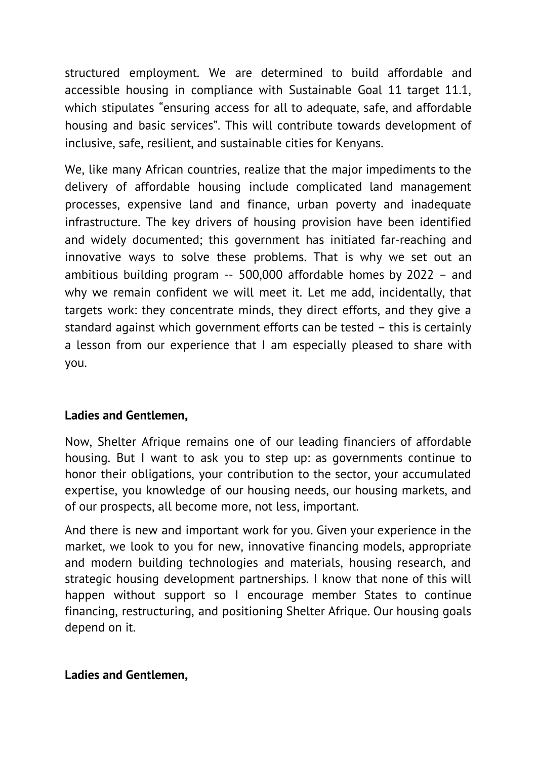structured employment. We are determined to build affordable and accessible housing in compliance with Sustainable Goal 11 target 11.1, which stipulates "ensuring access for all to adequate, safe, and affordable housing and basic services". This will contribute towards development of inclusive, safe, resilient, and sustainable cities for Kenyans.

We, like many African countries, realize that the major impediments to the delivery of affordable housing include complicated land management processes, expensive land and finance, urban poverty and inadequate infrastructure. The key drivers of housing provision have been identified and widely documented; this government has initiated far-reaching and innovative ways to solve these problems. That is why we set out an ambitious building program -- 500,000 affordable homes by 2022 – and why we remain confident we will meet it. Let me add, incidentally, that targets work: they concentrate minds, they direct efforts, and they give a standard against which government efforts can be tested – this is certainly a lesson from our experience that I am especially pleased to share with you.

# **Ladies and Gentlemen,**

Now, Shelter Afrique remains one of our leading financiers of affordable housing. But I want to ask you to step up: as governments continue to honor their obligations, your contribution to the sector, your accumulated expertise, you knowledge of our housing needs, our housing markets, and of our prospects, all become more, not less, important.

And there is new and important work for you. Given your experience in the market, we look to you for new, innovative financing models, appropriate and modern building technologies and materials, housing research, and strategic housing development partnerships. I know that none of this will happen without support so I encourage member States to continue financing, restructuring, and positioning Shelter Afrique. Our housing goals depend on it.

## **Ladies and Gentlemen,**